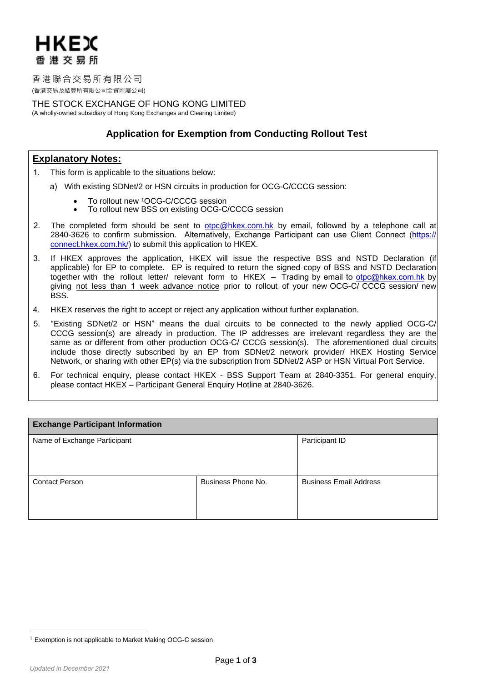

香港聯合交易所有限公司 (香港交易及結算所有限公司全資附屬公司)

THE STOCK EXCHANGE OF HONG KONG LIMITED (A wholly-owned subsidiary of Hong Kong Exchanges and Clearing Limited)

# **Application for Exemption from Conducting Rollout Test**

# **Explanatory Notes:**

- 1. This form is applicable to the situations below:
	- a) With existing SDNet/2 or HSN circuits in production for OCG-C/CCCG session:
		- To rollout new 1OCG-C/CCCG session<br>• To rollout new BSS on existing OCG-C
		- To rollout new BSS on existing OCG-C/CCCG session
- 2. The completed form should be sent to [otpc@hkex.com.hk](mailto:otpc@hkex.com.hk) by email, followed by a telephone call at 2840-3626 to confirm submission. Alternatively, Exchange Participant can use Client Conn[ect \(htt](https://connect.hkex.com.hk)ps:// [connect.hkex.com.hk/\)](https://connect.hkex.com.hk) to submit this application to HKEX.
- 3. If HKEX approves the application, HKEX will issue the respective BSS and NSTD Declaration (if applicable) for EP to complete. EP is required to return the signed copy of BSS and NSTD Declaration together with the rollout letter/ relevant form to HKEX – Trading by email to [otpc@hkex.com.hk](mailto:otpc@hkex.com.hk) by giving not less than 1 week advance notice prior to rollout of your new OCG-C/ CCCG session/ new BSS.
- 4. HKEX reserves the right to accept or reject any application without further explanation.
- 5. "Existing SDNet/2 or HSN" means the dual circuits to be connected to the newly applied OCG-C/ CCCG session(s) are already in production. The IP addresses are irrelevant regardless they are the same as or different from other production OCG-C/ CCCG session(s). The aforementioned dual circuits include those directly subscribed by an EP from SDNet/2 network provider/ HKEX Hosting Service Network, or sharing with other EP(s) via the subscription from SDNet/2 ASP or HSN Virtual Port Service.
- 6. For technical enquiry, please contact HKEX BSS Support Team at 2840-3351. For general enquiry, please contact HKEX – Participant General Enquiry Hotline at 2840-3626.

| <b>Exchange Participant Information</b> |                    |                               |  |  |
|-----------------------------------------|--------------------|-------------------------------|--|--|
| Name of Exchange Participant            |                    | Participant ID                |  |  |
|                                         |                    |                               |  |  |
| <b>Contact Person</b>                   | Business Phone No. | <b>Business Email Address</b> |  |  |

<sup>1</sup> Exemption is not applicable to Market Making OCG-C session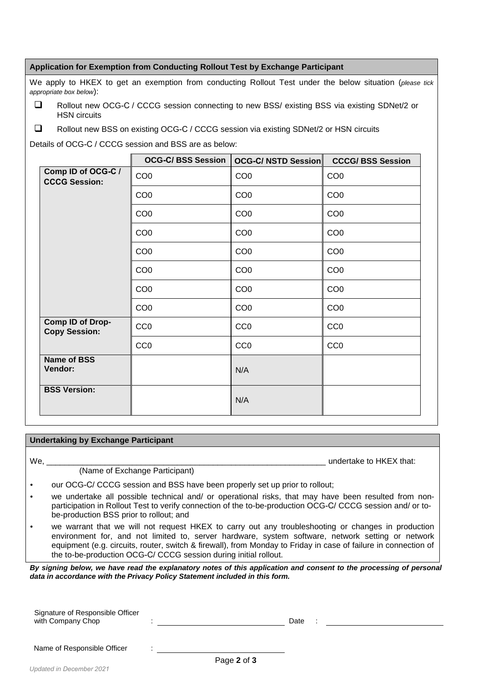## **Application for Exemption from Conducting Rollout Test by Exchange Participant**

We apply to HKEX to get an exemption from conducting Rollout Test under the below situation (*please tick appropriate box below*):

- □ Rollout new OCG-C / CCCG session connecting to new BSS/ existing BSS via existing SDNet/2 or HSN circuits
- Rollout new BSS on existing OCG-C / CCCG session via existing SDNet/2 or HSN circuits

Details of OCG-C / CCCG session and BSS are as below:

|                                            | <b>OCG-C/BSS Session</b> | <b>OCG-C/ NSTD Session</b> | <b>CCCG/BSS Session</b> |
|--------------------------------------------|--------------------------|----------------------------|-------------------------|
| Comp ID of OCG-C /<br><b>CCCG Session:</b> | CO <sub>0</sub>          | CO <sub>0</sub>            | CO <sub>0</sub>         |
|                                            | CO <sub>0</sub>          | CO <sub>0</sub>            | CO <sub>0</sub>         |
|                                            | CO <sub>0</sub>          | CO <sub>0</sub>            | CO <sub>0</sub>         |
|                                            | CO <sub>0</sub>          | CO <sub>0</sub>            | CO <sub>0</sub>         |
|                                            | CO <sub>0</sub>          | CO <sub>0</sub>            | CO <sub>0</sub>         |
|                                            | CO <sub>0</sub>          | CO <sub>0</sub>            | CO <sub>0</sub>         |
|                                            | CO <sub>0</sub>          | CO <sub>0</sub>            | CO <sub>0</sub>         |
|                                            | CO <sub>0</sub>          | CO <sub>0</sub>            | CO <sub>0</sub>         |
| Comp ID of Drop-<br><b>Copy Session:</b>   | CC <sub>0</sub>          | CC <sub>0</sub>            | CC <sub>0</sub>         |
|                                            | CC <sub>0</sub>          | CC <sub>0</sub>            | CC <sub>0</sub>         |
| <b>Name of BSS</b><br>Vendor:              |                          | N/A                        |                         |
| <b>BSS Version:</b>                        |                          | N/A                        |                         |

## **Undertaking by Exchange Participant**

We, the contract of the contract of the contract of the contract of the contract of the contract of the contract of the contract of the contract of the contract of the contract of the contract of the contract of the contra

## (Name of Exchange Participant)

- our OCG-C/ CCCG session and BSS have been properly set up prior to rollout;
- we undertake all possible technical and/ or operational risks, that may have been resulted from nonparticipation in Rollout Test to verify connection of the to-be-production OCG-C/ CCCG session and/ or tobe-production BSS prior to rollout; and
- we warrant that we will not request HKEX to carry out any troubleshooting or changes in production environment for, and not limited to, server hardware, system software, network setting or network equipment (e.g. circuits, router, switch & firewall), from Monday to Friday in case of failure in connection of the to-be-production OCG-C/ CCCG session during initial rollout.

*By signing below, we have read the explanatory notes of this application and consent to the processing of personal data in accordance with the Privacy Policy Statement included in this form.*

Signature of Responsible Officer with Company Chop : Date :

:

Name of Responsible Officer